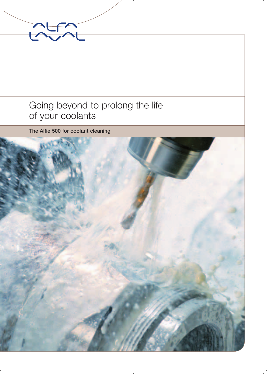

### Going beyond to prolong the life of your coolants

**The Alfie 500 for coolant cleaning**

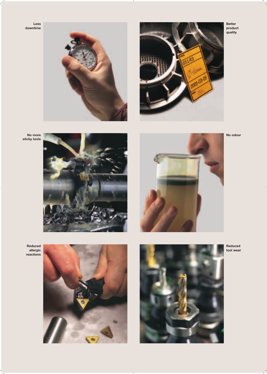**Less downtime**





**No more sticky tools**





**No odour**

**Better product quality**



**Reduced allergic reactions**





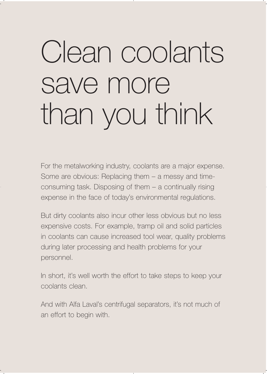# Clean coolants save more than you think

For the metalworking industry, coolants are a major expense. Some are obvious: Replacing them – a messy and timeconsuming task. Disposing of them – a continually rising expense in the face of today's environmental regulations.

But dirty coolants also incur other less obvious but no less expensive costs. For example, tramp oil and solid particles in coolants can cause increased tool wear, quality problems during later processing and health problems for your personnel.

In short, it's well worth the effort to take steps to keep your coolants clean.

And with Alfa Laval's centrifugal separators, it's not much of an effort to begin with.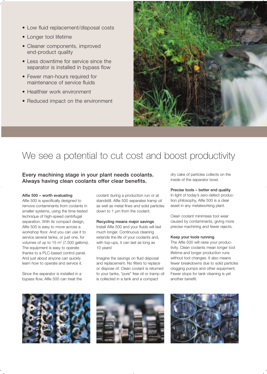- Low fluid replacement/disposal costs
- Longer tool lifetime
- Cleaner components, improved end-product quality
- Less downtime for service since the separator is installed in bypass flow
- Fewer man-hours required for maintenance of service fluids
- Healthier work environment
- Reduced impact on the environment



## We see a potential to cut cost and boost productivity

#### **Every machining stage in your plant needs coolants. Always having clean coolants offer clear benefits.**

#### **Alfie 500 – worth evaluating**

Alfie 500 is specifically designed to remove contaminants from coolants in smaller systems, using the time-tested technique of high-speed centrifugal separation. With its compact design, Alfie 500 is easy to move across a workshop floor. And you can use it to service several tanks, or just one, for volumes of up to  $15 \text{ m}^3$  (7,500 gallons). The equipment is easy to operate thanks to a PLC-based control panel. And just about anyone can quickly learn how to operate and service it.

Since the separator is installed in a bypass flow, Alfie 500 can treat the coolant during a production run or at standstill. Alfie 500 separates tramp oil as well as metal fines and solid particles down to 1 µm from the coolant.

#### **Recycling means major savings**  Install Alfie 500 and your fluids will last much longer. Continuous cleaning extends the life of your coolants and, with top-ups, it can last as long as 10 years!

Imagine the savings on fluid disposal and replacement. No filters to replace or dispose of. Clean coolant is returned to your tanks, "pure" free oil or tramp oil is collected in a tank and a compact

dry cake of particles collects on the inside of the separator bowl.

#### **Precise tools – better end quality**

In light of today's zero-defect production philosophy, Alfie 500 is a clear asset in any metalworking plant.

Clean coolant minimises tool wear caused by contaminants, giving more precise machining and fewer rejects.

#### **Keep your tools running**

The Alfie 500 will raise your productivity. Clean coolants mean longer tool lifetime and longer production runs without tool changes. It also means fewer breakdowns due to solid particles clogging pumps and other equipment. Fewer stops for tank cleaning is yet another benefit.





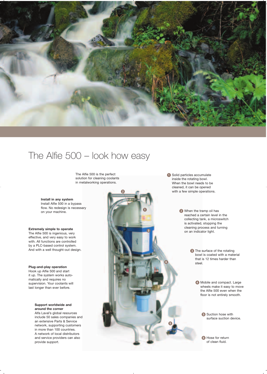

## The Alfie 500 – look how easy

The Alfie 500 is the perfect solution for cleaning coolants in metalworking operations.

#### **Install in any system** Install Alfie 500 in a bypass flow. No redesign is necessary on your machine.

**Extremely simple to operate** The Alfie 500 is ingenious, very effective, and very easy to work with. All functions are controlled by a PLC-based control system. And with a well thought-out design.

#### **Plug-and-play operation** Hook up Alfie 500 and start it up. The system works automatically and requires no supervision. Your coolants will

last longer than ever before.

**Support worldwide and** 

**around the corner** Alfa Laval's global resources include 50 sales companies and an extensive Parts & Service network, supporting customers in more than 100 countries. A network of local distributors and service providers can also provide support.

 Solid particles accumulate inside the rotating bowl. When the bowl needs to be cleaned, it can be opened with a few simple operations.

> **2** When the tramp oil has reached a certain level in the collecting tank, a microswitch is activated, stopping the cleaning process and turning on an indicator light.

> > **C** The surface of the rotating bowl is coated with a material that is 12 times harder than steel.

> > > 4 Mobile and compact. Large wheels make it easy to move the Alfie 500 even when the floor is not entirely smooth.

> > > > **S** Suction hose with surface suction device.

**6** Hose for return of clean fluid.

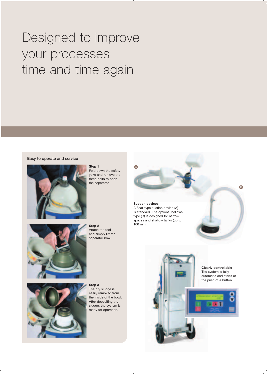## Designed to improve your processes time and time again

#### **Easy to operate and service**



#### **Step 1**

Fold down the safety yoke and remove the three bolts to open the separator.



**Step 2** Attach the tool and simply lift the separator bowl.



**Step 3** The dry sludge is easily removed from the inside of the bowl. After depositing the sludge, the system is ready for operation.



#### **Suction devices**

A float-type suction device (A) is standard. The optional bellows type (B) is designed for narrow spaces and shallow tanks (up to 100 mm).

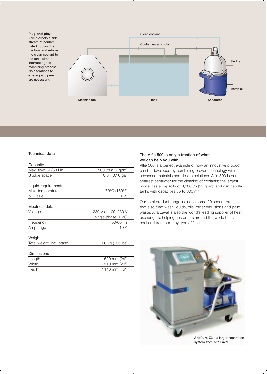#### **Plug-and-play**

Alfie extracts a side stream of contaminated coolant from the tank and returns the clean coolant to the tank without interrupting the machining process. No alterations to existing equipment are necessary.



#### **Technical data**

| Capacity                  |                          |
|---------------------------|--------------------------|
| Max. flow, 50/60 Hz       | 500 l/h (2.2 gpm)        |
| Sludge space              | $0.6$   $(0.16$ gal)     |
| Liquid requirements       |                          |
| Max. temperature          | 70°C (160°F)             |
| pH value                  | 6–9                      |
| Electrical data           |                          |
| Voltage                   | 230 V or 100–230 V       |
|                           | single-phase $(\pm 5\%)$ |
| Frequency                 | 50/60 Hz                 |
| Amperage                  | 10 A                     |
| Weight                    |                          |
| Total weight, incl. stand | 60 kg (135 lbs)          |
| Dimensions                |                          |

| Length | 620 mm $(24")$ |
|--------|----------------|
| Width  | 510 mm (20")   |
| Height | 1140 mm (45")  |

#### **The Alfie 500 is only a fraction of what we can help you with**

Alfie 500 is a perfect example of how an innovative product can be developed by combining proven technology with advanced materials and design solutions. Alfie 500 is our smallest separator for the cleaning of coolants; the largest model has a capacity of 8,000 l/h (35 gpm), and can handle tanks with capacities up to 300  $m^3$ .

Our total product range includes some 20 separators that also treat wash liquids, oils, other emulsions and paint waste. Alfa Laval is also the world's leading supplier of heat exchangers, helping customers around the world heat, cool and transport any type of fluid.